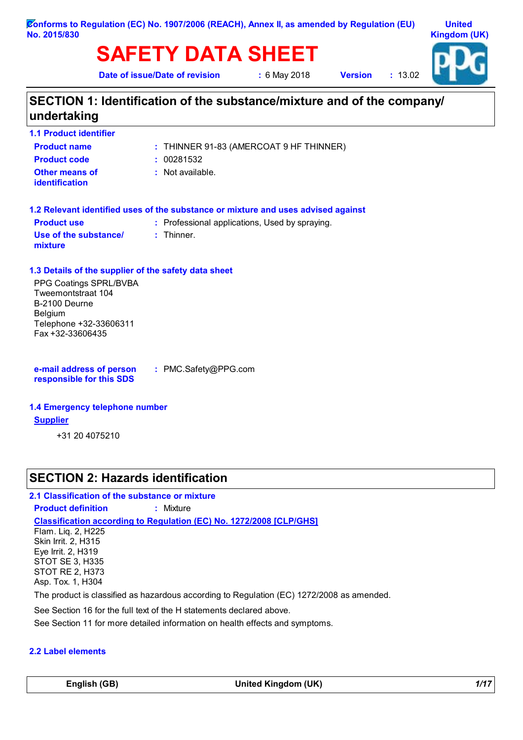# **SAFETY DATA SHEET**

**Date of issue/Date of revision :** 6 May 2018

**Version :** 13.02



# **SECTION 1: Identification of the substance/mixture and of the company/ undertaking**

| <b>1.1 Product identifier</b>                        |                                                                                   |
|------------------------------------------------------|-----------------------------------------------------------------------------------|
| <b>Product name</b>                                  | : THINNER 91-83 (AMERCOAT 9 HF THINNER)                                           |
| <b>Product code</b>                                  | : 00281532                                                                        |
| Other means of<br><b>identification</b>              | $:$ Not available.                                                                |
|                                                      | 1.2 Relevant identified uses of the substance or mixture and uses advised against |
| <b>Product use</b>                                   | : Professional applications, Used by spraying.                                    |
| Use of the substance/<br>mixture                     | $:$ Thinner.                                                                      |
| 1.3 Details of the supplier of the safety data sheet |                                                                                   |
| PPG Coatings SPRL/BVBA                               |                                                                                   |
| Tweemontstraat 104                                   |                                                                                   |
| B-2100 Deurne                                        |                                                                                   |
| <b>Belgium</b>                                       |                                                                                   |
| Telephone +32-33606311                               |                                                                                   |

**e-mail address of person responsible for this SDS**

Fax +32-33606435

**:** PMC.Safety@PPG.com

### **1.4 Emergency telephone number**

#### **Supplier**

+31 20 4075210

### **SECTION 2: Hazards identification**

#### **2.1 Classification of the substance or mixture**

**Product definition :** Mixture

**Classification according to Regulation (EC) No. 1272/2008 [CLP/GHS]**

Flam. Liq. 2, H225 Skin Irrit. 2, H315 Eye Irrit. 2, H319 STOT SE 3, H335 STOT RE 2, H373 Asp. Tox. 1, H304

The product is classified as hazardous according to Regulation (EC) 1272/2008 as amended.

See Section 16 for the full text of the H statements declared above.

See Section 11 for more detailed information on health effects and symptoms.

### **2.2 Label elements**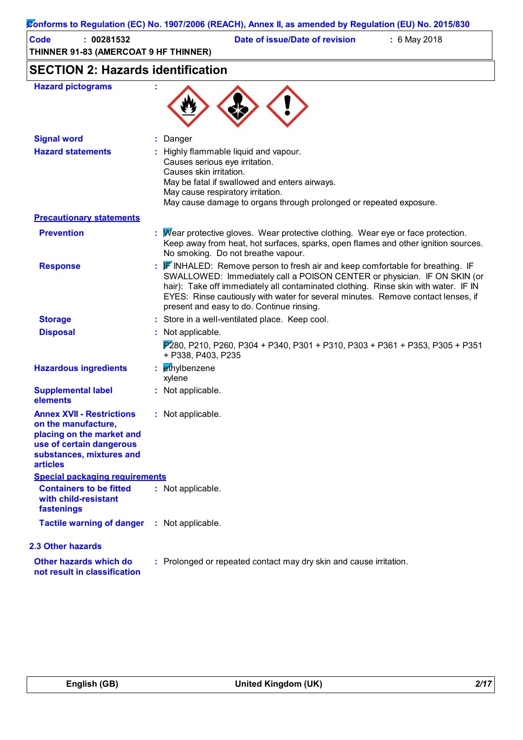|                                                                                                                                                                 | Conforms to Regulation (EC) No. 1907/2006 (REACH), Annex II, as amended by Regulation (EU) No. 2015/830                                                                                                                                                                                                                                                                                 |
|-----------------------------------------------------------------------------------------------------------------------------------------------------------------|-----------------------------------------------------------------------------------------------------------------------------------------------------------------------------------------------------------------------------------------------------------------------------------------------------------------------------------------------------------------------------------------|
| : 00281532<br>Code<br>THINNER 91-83 (AMERCOAT 9 HF THINNER)                                                                                                     | Date of issue/Date of revision<br>: 6 May 2018                                                                                                                                                                                                                                                                                                                                          |
| <b>SECTION 2: Hazards identification</b>                                                                                                                        |                                                                                                                                                                                                                                                                                                                                                                                         |
| <b>Hazard pictograms</b>                                                                                                                                        |                                                                                                                                                                                                                                                                                                                                                                                         |
| <b>Signal word</b>                                                                                                                                              | Danger                                                                                                                                                                                                                                                                                                                                                                                  |
| <b>Hazard statements</b>                                                                                                                                        | Highly flammable liquid and vapour.<br>Causes serious eye irritation.<br>Causes skin irritation.<br>May be fatal if swallowed and enters airways.<br>May cause respiratory irritation.<br>May cause damage to organs through prolonged or repeated exposure.                                                                                                                            |
| <b>Precautionary statements</b>                                                                                                                                 |                                                                                                                                                                                                                                                                                                                                                                                         |
| <b>Prevention</b>                                                                                                                                               | : Mear protective gloves. Wear protective clothing. Wear eye or face protection.<br>Keep away from heat, hot surfaces, sparks, open flames and other ignition sources.<br>No smoking. Do not breathe vapour.                                                                                                                                                                            |
| <b>Response</b>                                                                                                                                                 | <b>F</b> INHALED: Remove person to fresh air and keep comfortable for breathing. IF<br>SWALLOWED: Immediately call a POISON CENTER or physician. IF ON SKIN (or<br>hair): Take off immediately all contaminated clothing. Rinse skin with water. IF IN<br>EYES: Rinse cautiously with water for several minutes. Remove contact lenses, if<br>present and easy to do. Continue rinsing. |
| <b>Storage</b>                                                                                                                                                  | : Store in a well-ventilated place. Keep cool.                                                                                                                                                                                                                                                                                                                                          |
| <b>Disposal</b>                                                                                                                                                 | Not applicable.<br>$P$ 280, P210, P260, P304 + P340, P301 + P310, P303 + P361 + P353, P305 + P351<br>+ P338, P403, P235                                                                                                                                                                                                                                                                 |
| <b>Hazardous ingredients</b>                                                                                                                                    | : ethylbenzene<br>xylene                                                                                                                                                                                                                                                                                                                                                                |
| <b>Supplemental label</b><br>elements                                                                                                                           | : Not applicable.                                                                                                                                                                                                                                                                                                                                                                       |
| <b>Annex XVII - Restrictions</b><br>on the manufacture,<br>placing on the market and<br>use of certain dangerous<br>substances, mixtures and<br><b>articles</b> | : Not applicable.                                                                                                                                                                                                                                                                                                                                                                       |
| <b>Special packaging requirements</b><br><b>Containers to be fitted</b><br>with child-resistant<br>fastenings                                                   | : Not applicable.                                                                                                                                                                                                                                                                                                                                                                       |
| <b>Tactile warning of danger</b>                                                                                                                                | : Not applicable.                                                                                                                                                                                                                                                                                                                                                                       |
| <b>2.3 Other hazards</b>                                                                                                                                        |                                                                                                                                                                                                                                                                                                                                                                                         |
| <b>Other hazards which do</b><br>not result in classification                                                                                                   | : Prolonged or repeated contact may dry skin and cause irritation.                                                                                                                                                                                                                                                                                                                      |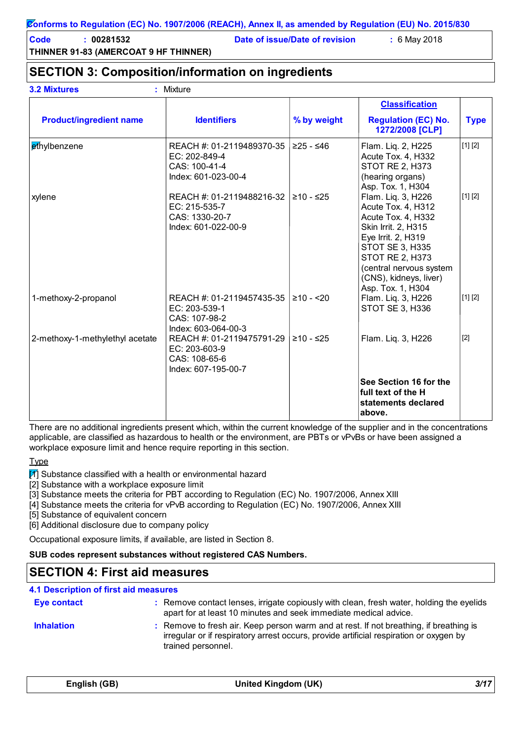**Code : 00281532 Date of issue/Date of revision :** 6 May 2018

# **SECTION 3: Composition/information on ingredients**

| <b>3.2 Mixtures</b> |  |
|---------------------|--|

**3.2 Mixtures :** Mixture

|                                 |                                                                                     |             | <b>Classification</b>                                                                                                                                                                                                                     |             |
|---------------------------------|-------------------------------------------------------------------------------------|-------------|-------------------------------------------------------------------------------------------------------------------------------------------------------------------------------------------------------------------------------------------|-------------|
| <b>Product/ingredient name</b>  | <b>Identifiers</b>                                                                  | % by weight | <b>Regulation (EC) No.</b><br>1272/2008 [CLP]                                                                                                                                                                                             | <b>Type</b> |
| ethylbenzene                    | REACH #: 01-2119489370-35<br>EC: 202-849-4<br>CAS: 100-41-4<br>Index: 601-023-00-4  | $≥25 - ≤46$ | Flam. Liq. 2, H225<br>Acute Tox. 4, H332<br><b>STOT RE 2, H373</b><br>(hearing organs)<br>Asp. Tox. 1, H304                                                                                                                               | [1] [2]     |
| xylene                          | REACH #: 01-2119488216-32<br>EC: 215-535-7<br>CAS: 1330-20-7<br>Index: 601-022-00-9 | $≥10 - ≤25$ | Flam. Liq. 3, H226<br>Acute Tox. 4, H312<br>Acute Tox. 4, H332<br>Skin Irrit. 2, H315<br>Eye Irrit. 2, H319<br><b>STOT SE 3, H335</b><br><b>STOT RE 2, H373</b><br>(central nervous system<br>(CNS), kidneys, liver)<br>Asp. Tox. 1, H304 | [1] [2]     |
| 1-methoxy-2-propanol            | REACH #: 01-2119457435-35<br>EC: 203-539-1<br>CAS: 107-98-2<br>Index: 603-064-00-3  | $≥10 - 20$  | Flam. Lig. 3, H226<br>STOT SE 3, H336                                                                                                                                                                                                     | [1] [2]     |
| 2-methoxy-1-methylethyl acetate | REACH #: 01-2119475791-29<br>EC: 203-603-9<br>CAS: 108-65-6<br>Index: 607-195-00-7  | ≥10 - ≤25   | Flam. Liq. 3, H226                                                                                                                                                                                                                        | $[2]$       |
|                                 |                                                                                     |             | See Section 16 for the<br>full text of the H<br>statements declared<br>above.                                                                                                                                                             |             |

There are no additional ingredients present which, within the current knowledge of the supplier and in the concentrations applicable, are classified as hazardous to health or the environment, are PBTs or vPvBs or have been assigned a workplace exposure limit and hence require reporting in this section.

**Type** 

 $\boxed{1}$  Substance classified with a health or environmental hazard

[2] Substance with a workplace exposure limit

[3] Substance meets the criteria for PBT according to Regulation (EC) No. 1907/2006, Annex XIII

[4] Substance meets the criteria for vPvB according to Regulation (EC) No. 1907/2006, Annex XIII

[5] Substance of equivalent concern

[6] Additional disclosure due to company policy

Occupational exposure limits, if available, are listed in Section 8.

**SUB codes represent substances without registered CAS Numbers.**

## **SECTION 4: First aid measures**

| <b>4.1 Description of first aid measures</b> |                                                                                                                                                                                                        |
|----------------------------------------------|--------------------------------------------------------------------------------------------------------------------------------------------------------------------------------------------------------|
| Eye contact                                  | : Remove contact lenses, irrigate copiously with clean, fresh water, holding the eyelids<br>apart for at least 10 minutes and seek immediate medical advice.                                           |
| <b>Inhalation</b>                            | : Remove to fresh air. Keep person warm and at rest. If not breathing, if breathing is<br>irregular or if respiratory arrest occurs, provide artificial respiration or oxygen by<br>trained personnel. |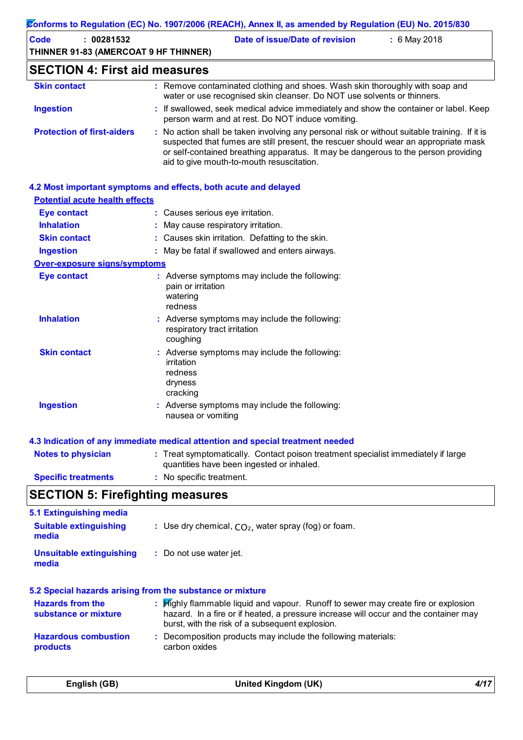| Code<br>: 00281532                    | Date of issue/Date of revision<br>: 6 May 2018                                                                                                                                                                                                                                                                          |
|---------------------------------------|-------------------------------------------------------------------------------------------------------------------------------------------------------------------------------------------------------------------------------------------------------------------------------------------------------------------------|
| THINNER 91-83 (AMERCOAT 9 HF THINNER) |                                                                                                                                                                                                                                                                                                                         |
| <b>SECTION 4: First aid measures</b>  |                                                                                                                                                                                                                                                                                                                         |
| <b>Skin contact</b>                   | : Remove contaminated clothing and shoes. Wash skin thoroughly with soap and<br>water or use recognised skin cleanser. Do NOT use solvents or thinners.                                                                                                                                                                 |
| <b>Ingestion</b>                      | : If swallowed, seek medical advice immediately and show the container or label. Keep<br>person warm and at rest. Do NOT induce vomiting.                                                                                                                                                                               |
| <b>Protection of first-aiders</b>     | : No action shall be taken involving any personal risk or without suitable training. If it is<br>suspected that fumes are still present, the rescuer should wear an appropriate mask<br>or self-contained breathing apparatus. It may be dangerous to the person providing<br>aid to give mouth-to-mouth resuscitation. |
|                                       | 4.2 Most important symptoms and effects, both acute and delayed                                                                                                                                                                                                                                                         |
| <b>Potential acute health effects</b> |                                                                                                                                                                                                                                                                                                                         |
| <b>Eye contact</b>                    | : Causes serious eye irritation.                                                                                                                                                                                                                                                                                        |
| <b>Inhalation</b>                     | : May cause respiratory irritation.                                                                                                                                                                                                                                                                                     |
| <b>Skin contact</b>                   | : Causes skin irritation. Defatting to the skin.                                                                                                                                                                                                                                                                        |
| <b>Ingestion</b>                      | : May be fatal if swallowed and enters airways.                                                                                                                                                                                                                                                                         |
| <b>Over-exposure signs/symptoms</b>   |                                                                                                                                                                                                                                                                                                                         |
| <b>Eye contact</b>                    | : Adverse symptoms may include the following:<br>pain or irritation<br>watering<br>redness                                                                                                                                                                                                                              |
| <b>Inhalation</b>                     | : Adverse symptoms may include the following:<br>respiratory tract irritation<br>coughing                                                                                                                                                                                                                               |
| <b>Skin contact</b>                   | : Adverse symptoms may include the following:<br>irritation<br>redness<br>dryness<br>cracking                                                                                                                                                                                                                           |
| <b>Ingestion</b>                      | : Adverse symptoms may include the following:<br>nausea or vomiting                                                                                                                                                                                                                                                     |

| <b>Notes to physician</b>  | : Treat symptomatically. Contact poison treatment specialist immediately if large<br>quantities have been ingested or inhaled. |
|----------------------------|--------------------------------------------------------------------------------------------------------------------------------|
| <b>Specific treatments</b> | : No specific treatment.                                                                                                       |

# **SECTION 5: Firefighting measures**

| 5.1 Extinguishing media                                   |                                                                                                                                                                                                                             |
|-----------------------------------------------------------|-----------------------------------------------------------------------------------------------------------------------------------------------------------------------------------------------------------------------------|
| <b>Suitable extinguishing</b><br>media                    | : Use dry chemical, $CO2$ , water spray (fog) or foam.                                                                                                                                                                      |
| Unsuitable extinguishing<br>media                         | : Do not use water jet.                                                                                                                                                                                                     |
| 5.2 Special hazards arising from the substance or mixture |                                                                                                                                                                                                                             |
| <b>Hazards from the</b><br>substance or mixture           | Highly flammable liquid and vapour. Runoff to sewer may create fire or explosion<br>hazard. In a fire or if heated, a pressure increase will occur and the container may<br>burst, with the risk of a subsequent explosion. |
| <b>Hazardous combustion</b><br>products                   | : Decomposition products may include the following materials:<br>carbon oxides                                                                                                                                              |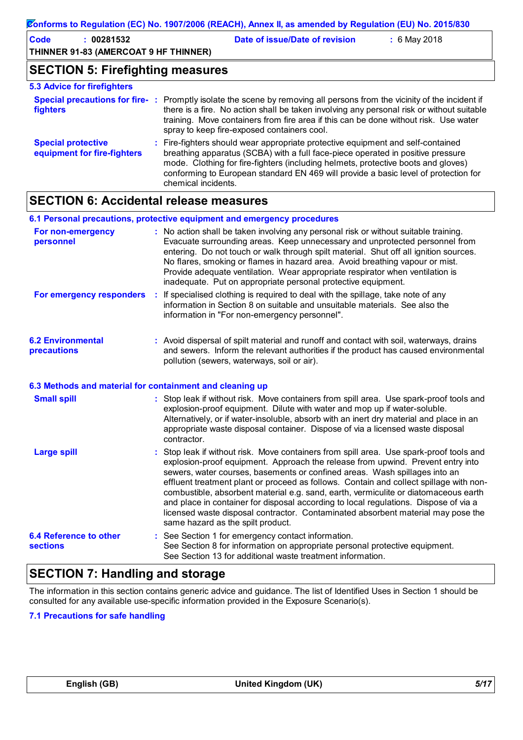| Conforms to Regulation (EC) No. 1907/2006 (REACH), Annex II, as amended by Regulation (EU) No. 2015/830 |                                                                                                                                                                                                                     |  |  |  |
|---------------------------------------------------------------------------------------------------------|---------------------------------------------------------------------------------------------------------------------------------------------------------------------------------------------------------------------|--|--|--|
| <b>Code</b><br>: 00281532<br>THINNER 91-83 (AMERCOAT 9 HF THINNER)                                      | Date of issue/Date of revision<br>$: 6$ May 2018                                                                                                                                                                    |  |  |  |
| <b>SECTION 5: Firefighting measures</b>                                                                 |                                                                                                                                                                                                                     |  |  |  |
| <b>5.3 Advice for firefighters</b>                                                                      |                                                                                                                                                                                                                     |  |  |  |
| fighters                                                                                                | Special precautions for fire-: Promptly isolate the scene by removing all persons from the vicinity of the incident if<br>there is a fire. No action shall be taken involving any personal risk or without suitable |  |  |  |

|                                                          | training. Move containers from fire area if this can be done without risk. Use water<br>spray to keep fire-exposed containers cool.                                                                                                                                                                                                                                   |
|----------------------------------------------------------|-----------------------------------------------------------------------------------------------------------------------------------------------------------------------------------------------------------------------------------------------------------------------------------------------------------------------------------------------------------------------|
| <b>Special protective</b><br>equipment for fire-fighters | : Fire-fighters should wear appropriate protective equipment and self-contained<br>breathing apparatus (SCBA) with a full face-piece operated in positive pressure<br>mode. Clothing for fire-fighters (including helmets, protective boots and gloves)<br>conforming to European standard EN 469 will provide a basic level of protection for<br>chemical incidents. |

# **SECTION 6: Accidental release measures**

|                                                          |    | 6.1 Personal precautions, protective equipment and emergency procedures                                                                                                                                                                                                                                                                                                                                                                                                                                                                                                                                                                                  |
|----------------------------------------------------------|----|----------------------------------------------------------------------------------------------------------------------------------------------------------------------------------------------------------------------------------------------------------------------------------------------------------------------------------------------------------------------------------------------------------------------------------------------------------------------------------------------------------------------------------------------------------------------------------------------------------------------------------------------------------|
| For non-emergency<br>personnel                           |    | : No action shall be taken involving any personal risk or without suitable training.<br>Evacuate surrounding areas. Keep unnecessary and unprotected personnel from<br>entering. Do not touch or walk through spilt material. Shut off all ignition sources.<br>No flares, smoking or flames in hazard area. Avoid breathing vapour or mist.<br>Provide adequate ventilation. Wear appropriate respirator when ventilation is<br>inadequate. Put on appropriate personal protective equipment.                                                                                                                                                           |
| For emergency responders                                 | ÷  | If specialised clothing is required to deal with the spillage, take note of any<br>information in Section 8 on suitable and unsuitable materials. See also the<br>information in "For non-emergency personnel".                                                                                                                                                                                                                                                                                                                                                                                                                                          |
| <b>6.2 Environmental</b><br>precautions                  |    | : Avoid dispersal of spilt material and runoff and contact with soil, waterways, drains<br>and sewers. Inform the relevant authorities if the product has caused environmental<br>pollution (sewers, waterways, soil or air).                                                                                                                                                                                                                                                                                                                                                                                                                            |
| 6.3 Methods and material for containment and cleaning up |    |                                                                                                                                                                                                                                                                                                                                                                                                                                                                                                                                                                                                                                                          |
| <b>Small spill</b>                                       |    | : Stop leak if without risk. Move containers from spill area. Use spark-proof tools and<br>explosion-proof equipment. Dilute with water and mop up if water-soluble.<br>Alternatively, or if water-insoluble, absorb with an inert dry material and place in an<br>appropriate waste disposal container. Dispose of via a licensed waste disposal<br>contractor.                                                                                                                                                                                                                                                                                         |
| <b>Large spill</b>                                       | ř. | Stop leak if without risk. Move containers from spill area. Use spark-proof tools and<br>explosion-proof equipment. Approach the release from upwind. Prevent entry into<br>sewers, water courses, basements or confined areas. Wash spillages into an<br>effluent treatment plant or proceed as follows. Contain and collect spillage with non-<br>combustible, absorbent material e.g. sand, earth, vermiculite or diatomaceous earth<br>and place in container for disposal according to local regulations. Dispose of via a<br>licensed waste disposal contractor. Contaminated absorbent material may pose the<br>same hazard as the spilt product. |
| <b>6.4 Reference to other</b><br><b>sections</b>         | ÷  | See Section 1 for emergency contact information.<br>See Section 8 for information on appropriate personal protective equipment.<br>See Section 13 for additional waste treatment information.                                                                                                                                                                                                                                                                                                                                                                                                                                                            |

# **SECTION 7: Handling and storage**

The information in this section contains generic advice and guidance. The list of Identified Uses in Section 1 should be consulted for any available use-specific information provided in the Exposure Scenario(s).

### **7.1 Precautions for safe handling**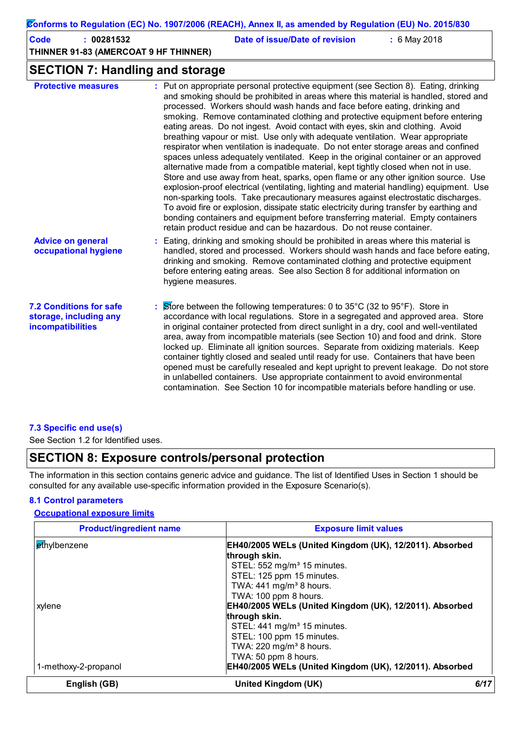### **Conforms to Regulation (EC) No. 1907/2006 (REACH), Annex II, as amended by Regulation (EU) No. 2015/830**

| Code | : 00281532                            | Date of issue/Date of revision | $: 6$ May 2018 |
|------|---------------------------------------|--------------------------------|----------------|
|      | THINNER 91-83 (AMERCOAT 9 HF THINNER) |                                |                |

### **SECTION 7: Handling and storage**

| <b>Protective measures</b>                                                           | : Put on appropriate personal protective equipment (see Section 8). Eating, drinking<br>and smoking should be prohibited in areas where this material is handled, stored and<br>processed. Workers should wash hands and face before eating, drinking and<br>smoking. Remove contaminated clothing and protective equipment before entering<br>eating areas. Do not ingest. Avoid contact with eyes, skin and clothing. Avoid<br>breathing vapour or mist. Use only with adequate ventilation. Wear appropriate<br>respirator when ventilation is inadequate. Do not enter storage areas and confined<br>spaces unless adequately ventilated. Keep in the original container or an approved<br>alternative made from a compatible material, kept tightly closed when not in use.<br>Store and use away from heat, sparks, open flame or any other ignition source. Use<br>explosion-proof electrical (ventilating, lighting and material handling) equipment. Use<br>non-sparking tools. Take precautionary measures against electrostatic discharges.<br>To avoid fire or explosion, dissipate static electricity during transfer by earthing and<br>bonding containers and equipment before transferring material. Empty containers<br>retain product residue and can be hazardous. Do not reuse container. |
|--------------------------------------------------------------------------------------|---------------------------------------------------------------------------------------------------------------------------------------------------------------------------------------------------------------------------------------------------------------------------------------------------------------------------------------------------------------------------------------------------------------------------------------------------------------------------------------------------------------------------------------------------------------------------------------------------------------------------------------------------------------------------------------------------------------------------------------------------------------------------------------------------------------------------------------------------------------------------------------------------------------------------------------------------------------------------------------------------------------------------------------------------------------------------------------------------------------------------------------------------------------------------------------------------------------------------------------------------------------------------------------------------------------|
| <b>Advice on general</b><br>occupational hygiene                                     | : Eating, drinking and smoking should be prohibited in areas where this material is<br>handled, stored and processed. Workers should wash hands and face before eating,<br>drinking and smoking. Remove contaminated clothing and protective equipment<br>before entering eating areas. See also Section 8 for additional information on<br>hygiene measures.                                                                                                                                                                                                                                                                                                                                                                                                                                                                                                                                                                                                                                                                                                                                                                                                                                                                                                                                                 |
| <b>7.2 Conditions for safe</b><br>storage, including any<br><b>incompatibilities</b> | Store between the following temperatures: 0 to $35^{\circ}$ C (32 to $95^{\circ}$ F). Store in<br>accordance with local regulations. Store in a segregated and approved area. Store<br>in original container protected from direct sunlight in a dry, cool and well-ventilated<br>area, away from incompatible materials (see Section 10) and food and drink. Store<br>locked up. Eliminate all ignition sources. Separate from oxidizing materials. Keep<br>container tightly closed and sealed until ready for use. Containers that have been<br>opened must be carefully resealed and kept upright to prevent leakage. Do not store<br>in unlabelled containers. Use appropriate containment to avoid environmental<br>contamination. See Section 10 for incompatible materials before handling or use.                                                                                                                                                                                                                                                                                                                                                                                                                                                                                                    |

### **7.3 Specific end use(s)**

See Section 1.2 for Identified uses.

### **SECTION 8: Exposure controls/personal protection**

The information in this section contains generic advice and guidance. The list of Identified Uses in Section 1 should be consulted for any available use-specific information provided in the Exposure Scenario(s).

### **8.1 Control parameters**

### **Occupational exposure limits**

| <b>Product/ingredient name</b> | <b>Exposure limit values</b>                                                                                                                                                          |      |
|--------------------------------|---------------------------------------------------------------------------------------------------------------------------------------------------------------------------------------|------|
| ethylbenzene                   | EH40/2005 WELs (United Kingdom (UK), 12/2011). Absorbed<br>through skin.<br>STEL: 552 mg/m <sup>3</sup> 15 minutes.<br>STEL: 125 ppm 15 minutes.                                      |      |
| xylene                         | TWA: $441$ mg/m <sup>3</sup> 8 hours.<br>TWA: 100 ppm 8 hours.<br>EH40/2005 WELs (United Kingdom (UK), 12/2011). Absorbed<br>through skin.<br>STEL: 441 mg/m <sup>3</sup> 15 minutes. |      |
| 1-methoxy-2-propanol           | STEL: 100 ppm 15 minutes.<br>TWA: 220 mg/m <sup>3</sup> 8 hours.<br>TWA: 50 ppm 8 hours.<br>EH40/2005 WELs (United Kingdom (UK), 12/2011). Absorbed                                   |      |
| English (GB)                   | United Kingdom (UK)                                                                                                                                                                   | 6/17 |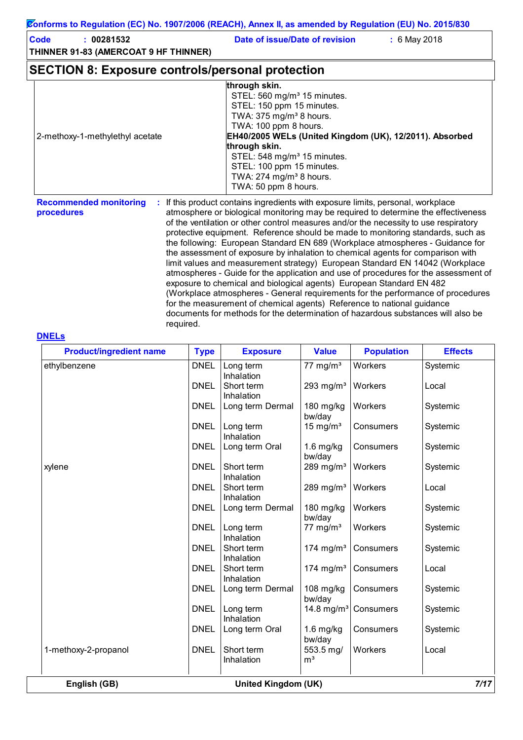**Code : 00281532 Date of issue/Date of revision :** 6 May 2018

**THINNER 91-83 (AMERCOAT 9 HF THINNER)**

### **SECTION 8: Exposure controls/personal protection**

|                                     | through skin.                                                                  |
|-------------------------------------|--------------------------------------------------------------------------------|
|                                     | STEL: 560 mg/m <sup>3</sup> 15 minutes.                                        |
|                                     | STEL: 150 ppm 15 minutes.                                                      |
|                                     | TWA: $375$ mg/m <sup>3</sup> 8 hours.                                          |
|                                     | TWA: 100 ppm 8 hours.                                                          |
| 2-methoxy-1-methylethyl acetate     | EH40/2005 WELs (United Kingdom (UK), 12/2011). Absorbed                        |
|                                     | through skin.                                                                  |
|                                     | STEL: 548 mg/m <sup>3</sup> 15 minutes.                                        |
|                                     | STEL: 100 ppm 15 minutes.                                                      |
|                                     | TWA: $274$ mg/m <sup>3</sup> 8 hours.                                          |
|                                     | TWA: 50 ppm 8 hours.                                                           |
| <b>Recommended monitoring</b><br>÷. | If this product contains ingredients with exposure limits, personal, workplace |

**procedures**

**:** If this product contains ingredients with exposure limits, personal, workplace atmosphere or biological monitoring may be required to determine the effectiveness of the ventilation or other control measures and/or the necessity to use respiratory protective equipment. Reference should be made to monitoring standards, such as the following: European Standard EN 689 (Workplace atmospheres - Guidance for the assessment of exposure by inhalation to chemical agents for comparison with limit values and measurement strategy) European Standard EN 14042 (Workplace atmospheres - Guide for the application and use of procedures for the assessment of exposure to chemical and biological agents) European Standard EN 482 (Workplace atmospheres - General requirements for the performance of procedures for the measurement of chemical agents) Reference to national guidance documents for methods for the determination of hazardous substances will also be required.

#### **DNELs**

| <b>Product/ingredient name</b> | <b>Type</b> | <b>Exposure</b>            | <b>Value</b>                | <b>Population</b> | <b>Effects</b> |
|--------------------------------|-------------|----------------------------|-----------------------------|-------------------|----------------|
| ethylbenzene                   | <b>DNEL</b> | Long term<br>Inhalation    | 77 mg/m $3$                 | Workers           | Systemic       |
|                                | <b>DNEL</b> | Short term<br>Inhalation   | 293 mg/ $m3$                | Workers           | Local          |
|                                | <b>DNEL</b> | Long term Dermal           | 180 mg/kg<br>bw/day         | Workers           | Systemic       |
|                                | <b>DNEL</b> | Long term<br>Inhalation    | 15 mg/ $m3$                 | Consumers         | Systemic       |
|                                | <b>DNEL</b> | Long term Oral             | $1.6$ mg/kg<br>bw/day       | Consumers         | Systemic       |
| xylene                         | <b>DNEL</b> | Short term<br>Inhalation   | 289 mg/m $3$                | Workers           | Systemic       |
|                                | <b>DNEL</b> | Short term<br>Inhalation   | 289 mg/ $m3$                | Workers           | Local          |
|                                | <b>DNEL</b> | Long term Dermal           | 180 mg/kg<br>bw/day         | Workers           | Systemic       |
|                                | <b>DNEL</b> | Long term<br>Inhalation    | 77 mg/ $m3$                 | Workers           | Systemic       |
|                                | <b>DNEL</b> | Short term<br>Inhalation   | 174 mg/ $m3$                | Consumers         | Systemic       |
|                                | <b>DNEL</b> | Short term<br>Inhalation   | 174 mg/m $3$                | Consumers         | Local          |
|                                | <b>DNEL</b> | Long term Dermal           | 108 mg/kg<br>bw/day         | Consumers         | Systemic       |
|                                | <b>DNEL</b> | Long term<br>Inhalation    | 14.8 mg/m <sup>3</sup>      | Consumers         | Systemic       |
|                                | <b>DNEL</b> | Long term Oral             | $1.6$ mg/kg<br>bw/day       | Consumers         | Systemic       |
| 1-methoxy-2-propanol           | <b>DNEL</b> | Short term<br>Inhalation   | 553.5 mg/<br>m <sup>3</sup> | Workers           | Local          |
| English (GB)                   |             | <b>United Kingdom (UK)</b> |                             |                   | 7/17           |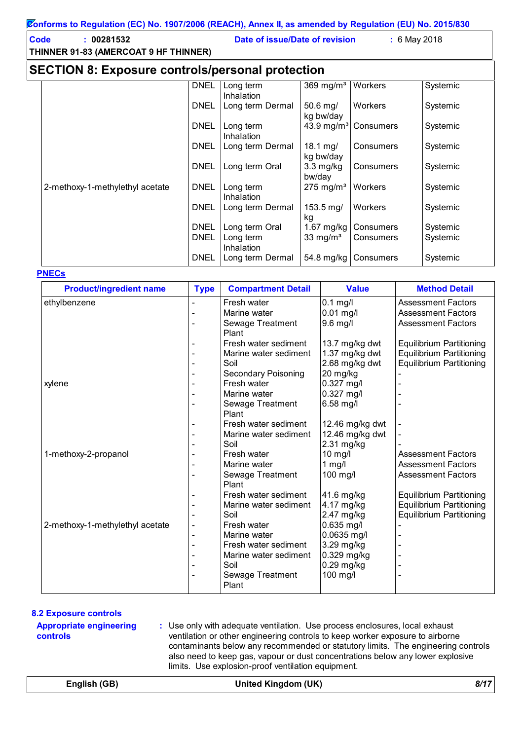#### **Code : 00281532 Date of issue/Date of revision :** 6 May 2018

**SECTION 8: Exposure controls/personal protection**

|                                 | <b>DNEL</b> | Long term               | 369 mg/ $m3$                  | Workers                          | Systemic |
|---------------------------------|-------------|-------------------------|-------------------------------|----------------------------------|----------|
|                                 |             | Inhalation              |                               |                                  |          |
|                                 | <b>DNEL</b> | Long term Dermal        | 50.6 mg/<br>kg bw/day         | Workers                          | Systemic |
|                                 | <b>DNEL</b> | Long term<br>Inhalation |                               | 43.9 mg/m <sup>3</sup> Consumers | Systemic |
|                                 | <b>DNEL</b> | Long term Dermal        | 18.1 mg/<br>kg bw/day         | Consumers                        | Systemic |
|                                 | <b>DNEL</b> | Long term Oral          | $3.3 \text{ mg/kg}$<br>bw/day | Consumers                        | Systemic |
| 2-methoxy-1-methylethyl acetate | <b>DNEL</b> | Long term<br>Inhalation | $275 \text{ mg/m}^3$          | Workers                          | Systemic |
|                                 | <b>DNEL</b> | Long term Dermal        | $153.5 \,\mathrm{mg}$<br>kg   | Workers                          | Systemic |
|                                 | <b>DNEL</b> | Long term Oral          | 1.67 mg/kg                    | Consumers                        | Systemic |
|                                 | <b>DNEL</b> | Long term<br>Inhalation | 33 mg/ $m3$                   | Consumers                        | Systemic |
|                                 | <b>DNEL</b> | Long term Dermal        |                               | 54.8 mg/kg   Consumers           | Systemic |

### **PNECs**

| <b>Product/ingredient name</b>  | <b>Type</b> | <b>Compartment Detail</b> | <b>Value</b>    | <b>Method Detail</b>            |
|---------------------------------|-------------|---------------------------|-----------------|---------------------------------|
| ethylbenzene                    |             | Fresh water               | $0.1$ mg/l      | <b>Assessment Factors</b>       |
|                                 |             | Marine water              | $0.01$ mg/l     | <b>Assessment Factors</b>       |
|                                 |             | Sewage Treatment          | 9.6 mg/l        | <b>Assessment Factors</b>       |
|                                 |             | Plant                     |                 |                                 |
|                                 |             | Fresh water sediment      | 13.7 mg/kg dwt  | <b>Equilibrium Partitioning</b> |
|                                 |             | Marine water sediment     | 1.37 mg/kg dwt  | <b>Equilibrium Partitioning</b> |
|                                 |             | Soil                      | 2.68 mg/kg dwt  | <b>Equilibrium Partitioning</b> |
|                                 |             | Secondary Poisoning       | 20 mg/kg        |                                 |
| xylene                          |             | Fresh water               | 0.327 mg/l      |                                 |
|                                 |             | Marine water              | $0.327$ mg/l    |                                 |
|                                 |             | Sewage Treatment          | 6.58 mg/l       |                                 |
|                                 |             | Plant                     |                 |                                 |
|                                 |             | Fresh water sediment      | 12.46 mg/kg dwt |                                 |
|                                 |             | Marine water sediment     | 12.46 mg/kg dwt |                                 |
|                                 |             | Soil                      | 2.31 mg/kg      |                                 |
| 1-methoxy-2-propanol            |             | Fresh water               | 10 mg/l         | <b>Assessment Factors</b>       |
|                                 |             | Marine water              | $1$ mg/l        | <b>Assessment Factors</b>       |
|                                 |             | Sewage Treatment          | 100 mg/l        | <b>Assessment Factors</b>       |
|                                 |             | Plant                     |                 |                                 |
|                                 |             | Fresh water sediment      | 41.6 mg/kg      | <b>Equilibrium Partitioning</b> |
|                                 |             | Marine water sediment     | 4.17 mg/kg      | <b>Equilibrium Partitioning</b> |
|                                 |             | Soil                      | 2.47 mg/kg      | <b>Equilibrium Partitioning</b> |
| 2-methoxy-1-methylethyl acetate |             | Fresh water               | $0.635$ mg/l    |                                 |
|                                 |             | Marine water              | $0.0635$ mg/l   |                                 |
|                                 |             | Fresh water sediment      | 3.29 mg/kg      |                                 |
|                                 |             | Marine water sediment     | 0.329 mg/kg     |                                 |
|                                 |             | Soil                      | 0.29 mg/kg      |                                 |
|                                 |             | Sewage Treatment          | 100 mg/l        |                                 |
|                                 |             | Plant                     |                 |                                 |

### **8.2 Exposure controls**

**Appropriate engineering controls**

**:** Use only with adequate ventilation. Use process enclosures, local exhaust ventilation or other engineering controls to keep worker exposure to airborne contaminants below any recommended or statutory limits. The engineering controls also need to keep gas, vapour or dust concentrations below any lower explosive limits. Use explosion-proof ventilation equipment.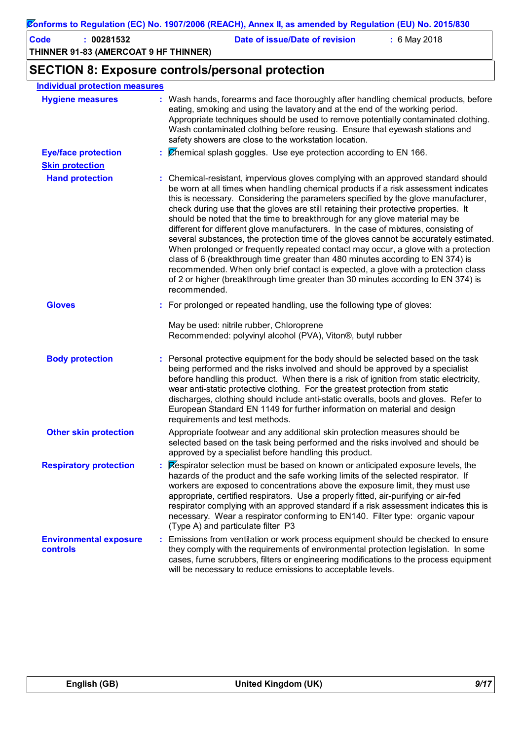| <b>Code</b><br>: 00281532<br>THINNER 91-83 (AMERCOAT 9 HF THINNER) | Date of issue/Date of revision<br>: 6 May 2018                                                                                                                                                                                                                                                                                                                                                                                                                                                                                                                                                                                                                                                                                                                                                                                                                                                                                                                                           |
|--------------------------------------------------------------------|------------------------------------------------------------------------------------------------------------------------------------------------------------------------------------------------------------------------------------------------------------------------------------------------------------------------------------------------------------------------------------------------------------------------------------------------------------------------------------------------------------------------------------------------------------------------------------------------------------------------------------------------------------------------------------------------------------------------------------------------------------------------------------------------------------------------------------------------------------------------------------------------------------------------------------------------------------------------------------------|
|                                                                    | <b>SECTION 8: Exposure controls/personal protection</b>                                                                                                                                                                                                                                                                                                                                                                                                                                                                                                                                                                                                                                                                                                                                                                                                                                                                                                                                  |
| <b>Individual protection measures</b>                              |                                                                                                                                                                                                                                                                                                                                                                                                                                                                                                                                                                                                                                                                                                                                                                                                                                                                                                                                                                                          |
| <b>Hygiene measures</b>                                            | : Wash hands, forearms and face thoroughly after handling chemical products, before<br>eating, smoking and using the lavatory and at the end of the working period.<br>Appropriate techniques should be used to remove potentially contaminated clothing.<br>Wash contaminated clothing before reusing. Ensure that eyewash stations and<br>safety showers are close to the workstation location.                                                                                                                                                                                                                                                                                                                                                                                                                                                                                                                                                                                        |
| <b>Eye/face protection</b>                                         | $\therefore$ Chemical splash goggles. Use eye protection according to EN 166.                                                                                                                                                                                                                                                                                                                                                                                                                                                                                                                                                                                                                                                                                                                                                                                                                                                                                                            |
| <b>Skin protection</b>                                             |                                                                                                                                                                                                                                                                                                                                                                                                                                                                                                                                                                                                                                                                                                                                                                                                                                                                                                                                                                                          |
| <b>Hand protection</b>                                             | : Chemical-resistant, impervious gloves complying with an approved standard should<br>be worn at all times when handling chemical products if a risk assessment indicates<br>this is necessary. Considering the parameters specified by the glove manufacturer,<br>check during use that the gloves are still retaining their protective properties. It<br>should be noted that the time to breakthrough for any glove material may be<br>different for different glove manufacturers. In the case of mixtures, consisting of<br>several substances, the protection time of the gloves cannot be accurately estimated.<br>When prolonged or frequently repeated contact may occur, a glove with a protection<br>class of 6 (breakthrough time greater than 480 minutes according to EN 374) is<br>recommended. When only brief contact is expected, a glove with a protection class<br>of 2 or higher (breakthrough time greater than 30 minutes according to EN 374) is<br>recommended. |
| <b>Gloves</b>                                                      | : For prolonged or repeated handling, use the following type of gloves:                                                                                                                                                                                                                                                                                                                                                                                                                                                                                                                                                                                                                                                                                                                                                                                                                                                                                                                  |
|                                                                    | May be used: nitrile rubber, Chloroprene<br>Recommended: polyvinyl alcohol (PVA), Viton®, butyl rubber                                                                                                                                                                                                                                                                                                                                                                                                                                                                                                                                                                                                                                                                                                                                                                                                                                                                                   |
| <b>Body protection</b>                                             | Personal protective equipment for the body should be selected based on the task<br>being performed and the risks involved and should be approved by a specialist<br>before handling this product. When there is a risk of ignition from static electricity,<br>wear anti-static protective clothing. For the greatest protection from static<br>discharges, clothing should include anti-static overalls, boots and gloves. Refer to<br>European Standard EN 1149 for further information on material and design<br>requirements and test methods.                                                                                                                                                                                                                                                                                                                                                                                                                                       |
| <b>Other skin protection</b>                                       | Appropriate footwear and any additional skin protection measures should be<br>selected based on the task being performed and the risks involved and should be<br>approved by a specialist before handling this product.                                                                                                                                                                                                                                                                                                                                                                                                                                                                                                                                                                                                                                                                                                                                                                  |
| <b>Respiratory protection</b>                                      | Respirator selection must be based on known or anticipated exposure levels, the<br>hazards of the product and the safe working limits of the selected respirator. If<br>workers are exposed to concentrations above the exposure limit, they must use<br>appropriate, certified respirators. Use a properly fitted, air-purifying or air-fed<br>respirator complying with an approved standard if a risk assessment indicates this is<br>necessary. Wear a respirator conforming to EN140. Filter type: organic vapour<br>(Type A) and particulate filter P3                                                                                                                                                                                                                                                                                                                                                                                                                             |
| <b>Environmental exposure</b><br><b>controls</b>                   | Emissions from ventilation or work process equipment should be checked to ensure<br>they comply with the requirements of environmental protection legislation. In some<br>cases, fume scrubbers, filters or engineering modifications to the process equipment<br>will be necessary to reduce emissions to acceptable levels.                                                                                                                                                                                                                                                                                                                                                                                                                                                                                                                                                                                                                                                            |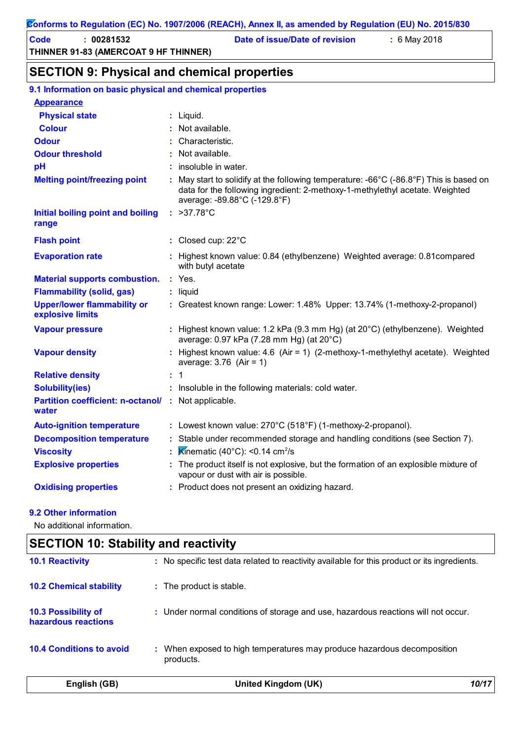**Code : 00281532 Date of issue/Date of revision :** 6 May 2018

### **SECTION 9: Physical and chemical properties**

| 9.1 Information on basic physical and chemical properties    |                                                                                                                                                                                                                           |
|--------------------------------------------------------------|---------------------------------------------------------------------------------------------------------------------------------------------------------------------------------------------------------------------------|
| <b>Appearance</b>                                            |                                                                                                                                                                                                                           |
| <b>Physical state</b>                                        | $:$ Liquid.                                                                                                                                                                                                               |
| <b>Colour</b>                                                | Not available.                                                                                                                                                                                                            |
| <b>Odour</b>                                                 | Characteristic.                                                                                                                                                                                                           |
| <b>Odour threshold</b>                                       | Not available.                                                                                                                                                                                                            |
| pH                                                           | insoluble in water.                                                                                                                                                                                                       |
| <b>Melting point/freezing point</b>                          | May start to solidify at the following temperature: $-66^{\circ}$ C ( $-86.8^{\circ}$ F) This is based on<br>data for the following ingredient: 2-methoxy-1-methylethyl acetate. Weighted<br>average: -89.88°C (-129.8°F) |
| <b>Initial boiling point and boiling</b><br>range            | : $>37.78^{\circ}$ C                                                                                                                                                                                                      |
| <b>Flash point</b>                                           | : Closed cup: $22^{\circ}$ C                                                                                                                                                                                              |
| <b>Evaporation rate</b>                                      | : Highest known value: 0.84 (ethylbenzene) Weighted average: 0.81 compared<br>with butyl acetate                                                                                                                          |
| <b>Material supports combustion.</b>                         | $:$ Yes.                                                                                                                                                                                                                  |
| <b>Flammability (solid, gas)</b>                             | : liquid                                                                                                                                                                                                                  |
| <b>Upper/lower flammability or</b><br>explosive limits       | : Greatest known range: Lower: 1.48% Upper: 13.74% (1-methoxy-2-propanol)                                                                                                                                                 |
| <b>Vapour pressure</b>                                       | : Highest known value: 1.2 kPa (9.3 mm Hg) (at 20°C) (ethylbenzene). Weighted<br>average: 0.97 kPa (7.28 mm Hg) (at 20°C)                                                                                                 |
| <b>Vapour density</b>                                        | Highest known value: 4.6 (Air = 1) (2-methoxy-1-methylethyl acetate). Weighted<br>average: $3.76$ (Air = 1)                                                                                                               |
| <b>Relative density</b>                                      | $\div$ 1                                                                                                                                                                                                                  |
| <b>Solubility(ies)</b>                                       | : Insoluble in the following materials: cold water.                                                                                                                                                                       |
| Partition coefficient: n-octanol/ : Not applicable.<br>water |                                                                                                                                                                                                                           |
| <b>Auto-ignition temperature</b>                             | : Lowest known value: 270°C (518°F) (1-methoxy-2-propanol).                                                                                                                                                               |
| <b>Decomposition temperature</b>                             | Stable under recommended storage and handling conditions (see Section 7).                                                                                                                                                 |
| <b>Viscosity</b>                                             | Kinematic $(40^{\circ}$ C): <0.14 cm <sup>2</sup> /s                                                                                                                                                                      |
| <b>Explosive properties</b>                                  | : The product itself is not explosive, but the formation of an explosible mixture of<br>vapour or dust with air is possible.                                                                                              |
| <b>Oxidising properties</b>                                  | : Product does not present an oxidizing hazard.                                                                                                                                                                           |

#### **9.2 Other information**

No additional information.

# **10.4 Conditions to avoid** : When exposed to high temperatures may produce hazardous decomposition products. **10.2 Chemical stability :** The product is stable. **10.3 Possibility of hazardous reactions :** Under normal conditions of storage and use, hazardous reactions will not occur. **SECTION 10: Stability and reactivity 10.1 Reactivity :** No specific test data related to reactivity available for this product or its ingredients. **English (GB) United Kingdom (UK)** *10/17*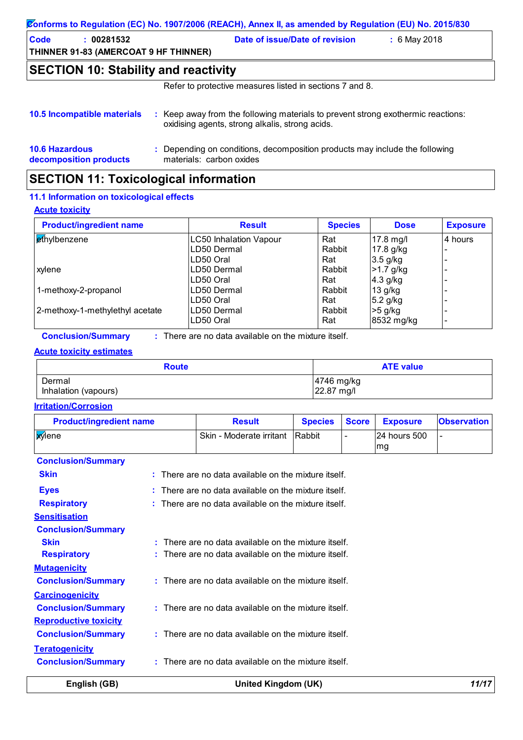|                                                                    | Conforms to Regulation (EC) No. 1907/2006 (REACH), Annex II, as amended by Regulation (EU) No. 2015/830                             |
|--------------------------------------------------------------------|-------------------------------------------------------------------------------------------------------------------------------------|
| <b>Code</b><br>: 00281532<br>THINNER 91-83 (AMERCOAT 9 HF THINNER) | Date of issue/Date of revision<br>: 6 May 2018                                                                                      |
| <b>SECTION 10: Stability and reactivity</b>                        |                                                                                                                                     |
|                                                                    | Refer to protective measures listed in sections 7 and 8.                                                                            |
| 10.5 Incompatible materials                                        | : Keep away from the following materials to prevent strong exothermic reactions:<br>oxidising agents, strong alkalis, strong acids. |
| <b>10.6 Hazardous</b>                                              | : Depending on conditions, decomposition products may include the following                                                         |

### **decomposition products**

materials: carbon oxides

# **SECTION 11: Toxicological information**

### **11.1 Information on toxicological effects**

### **Acute toxicity**

| <b>Product/ingredient name</b>  | <b>Result</b>                 | <b>Species</b> | <b>Dose</b> | <b>Exposure</b> |
|---------------------------------|-------------------------------|----------------|-------------|-----------------|
| ethylbenzene                    | <b>LC50 Inhalation Vapour</b> | Rat            | 17.8 mg/l   | l4 hours        |
|                                 | LD50 Dermal                   | Rabbit         | 17.8 g/kg   |                 |
|                                 | LD50 Oral                     | Rat            | $3.5$ g/kg  |                 |
| xylene                          | LD50 Dermal                   | Rabbit         | $>1.7$ g/kg |                 |
|                                 | LD50 Oral                     | Rat            | $4.3$ g/kg  |                 |
| 1-methoxy-2-propanol            | LD50 Dermal                   | Rabbit         | 13 g/kg     |                 |
|                                 | LD50 Oral                     | Rat            | $5.2$ g/kg  |                 |
| 2-methoxy-1-methylethyl acetate | LD50 Dermal                   | Rabbit         | $>5$ g/kg   |                 |
|                                 | LD50 Oral                     | Rat            | 8532 mg/kg  |                 |

**Conclusion/Summary :** There are no data available on the mixture itself.

### **Acute toxicity estimates**

| <b>Route</b>         | <b>ATE value</b> |
|----------------------|------------------|
| Dermal               | 4746 mg/kg       |
| Inhalation (vapours) | 22.87 mg/l       |

### **Irritation/Corrosion**

| <b>Product/ingredient name</b> |    | <b>Result</b>                                                   | <b>Species</b> | <b>Score</b> | <b>Exposure</b>    | <b>Observation</b> |
|--------------------------------|----|-----------------------------------------------------------------|----------------|--------------|--------------------|--------------------|
| <b>X</b> ylene                 |    | Skin - Moderate irritant                                        | Rabbit         |              | 24 hours 500<br>mg |                    |
| <b>Conclusion/Summary</b>      |    |                                                                 |                |              |                    |                    |
| <b>Skin</b>                    |    | : There are no data available on the mixture itself.            |                |              |                    |                    |
| <b>Eyes</b>                    |    | $\therefore$ There are no data available on the mixture itself. |                |              |                    |                    |
| <b>Respiratory</b>             |    | : There are no data available on the mixture itself.            |                |              |                    |                    |
| <b>Sensitisation</b>           |    |                                                                 |                |              |                    |                    |
| <b>Conclusion/Summary</b>      |    |                                                                 |                |              |                    |                    |
| <b>Skin</b>                    | ŧ. | There are no data available on the mixture itself.              |                |              |                    |                    |
| <b>Respiratory</b>             |    | There are no data available on the mixture itself.              |                |              |                    |                    |
| <b>Mutagenicity</b>            |    |                                                                 |                |              |                    |                    |
| <b>Conclusion/Summary</b>      |    | $:$ There are no data available on the mixture itself.          |                |              |                    |                    |
| <b>Carcinogenicity</b>         |    |                                                                 |                |              |                    |                    |
| <b>Conclusion/Summary</b>      | ÷. | There are no data available on the mixture itself.              |                |              |                    |                    |
| <b>Reproductive toxicity</b>   |    |                                                                 |                |              |                    |                    |
| <b>Conclusion/Summary</b>      |    | $:$ There are no data available on the mixture itself.          |                |              |                    |                    |
| <b>Teratogenicity</b>          |    |                                                                 |                |              |                    |                    |
| <b>Conclusion/Summary</b>      |    | $:$ There are no data available on the mixture itself.          |                |              |                    |                    |
| English (GB)                   |    | United Kingdom (UK)                                             |                |              |                    | 11/17              |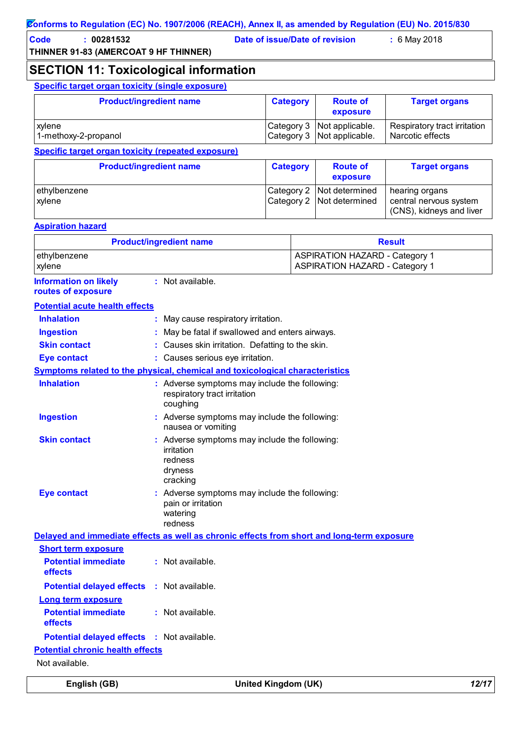**Code : 00281532 Date of issue/Date of revision :** 6 May 2018

**SECTION 11: Toxicological information**

**Specific target organ toxicity (single exposure)**

| <b>Product/ingredient name</b>                     | <b>Category</b> | <b>Route of</b><br>exposure                              | <b>Target organs</b>                             |
|----------------------------------------------------|-----------------|----------------------------------------------------------|--------------------------------------------------|
| xylene<br>1-methoxy-2-propanol                     |                 | Category 3 Not applicable.<br>Category 3 Not applicable. | Respiratory tract irritation<br>Narcotic effects |
| Specific target organ toxicity (repeated exposure) |                 |                                                          |                                                  |

|                        | <b>Product/ingredient name</b> | <b>Category</b> | <b>Route of</b><br>exposure                                | <b>Target organs</b>                                                 |
|------------------------|--------------------------------|-----------------|------------------------------------------------------------|----------------------------------------------------------------------|
| ethylbenzene<br>xylene |                                |                 | Category 2   Not determined<br>Category 2   Not determined | hearing organs<br>central nervous system<br>(CNS), kidneys and liver |

### **Aspiration hazard**

| <b>Product/ingredient name</b> | <b>Result</b>                         |
|--------------------------------|---------------------------------------|
| ethylbenzene                   | <b>ASPIRATION HAZARD - Category 1</b> |
| <b>xylene</b>                  | <b>ASPIRATION HAZARD - Category 1</b> |

**:** Not available. **Information on likely routes of exposure**

| <b>Potential acute health effects</b>             |                                                                                               |
|---------------------------------------------------|-----------------------------------------------------------------------------------------------|
| <b>Inhalation</b>                                 | : May cause respiratory irritation.                                                           |
| <b>Ingestion</b>                                  | : May be fatal if swallowed and enters airways.                                               |
| <b>Skin contact</b>                               | : Causes skin irritation. Defatting to the skin.                                              |
| <b>Eye contact</b>                                | : Causes serious eye irritation.                                                              |
|                                                   | <b>Symptoms related to the physical, chemical and toxicological characteristics</b>           |
| <b>Inhalation</b>                                 | : Adverse symptoms may include the following:<br>respiratory tract irritation<br>coughing     |
| <b>Ingestion</b>                                  | : Adverse symptoms may include the following:<br>nausea or vomiting                           |
| <b>Skin contact</b>                               | : Adverse symptoms may include the following:<br>irritation<br>redness<br>dryness<br>cracking |
| <b>Eye contact</b>                                | : Adverse symptoms may include the following:<br>pain or irritation<br>watering<br>redness    |
|                                                   | Delayed and immediate effects as well as chronic effects from short and long-term exposure    |
| <b>Short term exposure</b>                        |                                                                                               |
| <b>Potential immediate</b><br>effects             | : Not available.                                                                              |
| <b>Potential delayed effects : Not available.</b> |                                                                                               |
| <b>Long term exposure</b>                         |                                                                                               |
| <b>Potential immediate</b><br>effects             | : Not available.                                                                              |
| Potential delayed effects : Not available.        |                                                                                               |
| <b>Potential chronic health effects</b>           |                                                                                               |
| Not available.                                    |                                                                                               |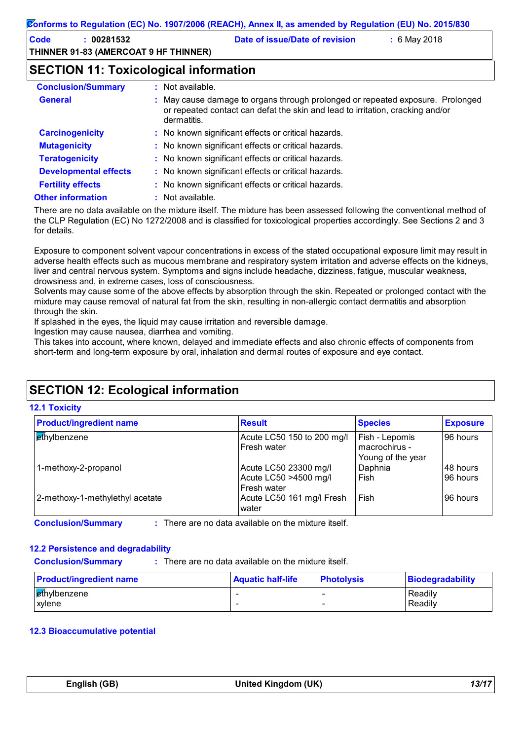| Code | 00281532                              | Date of issue/Date of revision | $: 6$ May 2018 |
|------|---------------------------------------|--------------------------------|----------------|
|      | THINNER 91-83 (AMERCOAT 9 HF THINNER) |                                |                |

### **SECTION 11: Toxicological information**

| <b>Conclusion/Summary</b>    | $:$ Not available.                                                                                                                                                              |
|------------------------------|---------------------------------------------------------------------------------------------------------------------------------------------------------------------------------|
| <b>General</b>               | : May cause damage to organs through prolonged or repeated exposure. Prolonged<br>or repeated contact can defat the skin and lead to irritation, cracking and/or<br>dermatitis. |
| <b>Carcinogenicity</b>       | : No known significant effects or critical hazards.                                                                                                                             |
| <b>Mutagenicity</b>          | : No known significant effects or critical hazards.                                                                                                                             |
| <b>Teratogenicity</b>        | : No known significant effects or critical hazards.                                                                                                                             |
| <b>Developmental effects</b> | : No known significant effects or critical hazards.                                                                                                                             |
| <b>Fertility effects</b>     | : No known significant effects or critical hazards.                                                                                                                             |
| <b>Other information</b>     | : Not available.                                                                                                                                                                |

There are no data available on the mixture itself. The mixture has been assessed following the conventional method of the CLP Regulation (EC) No 1272/2008 and is classified for toxicological properties accordingly. See Sections 2 and 3 for details.

Exposure to component solvent vapour concentrations in excess of the stated occupational exposure limit may result in adverse health effects such as mucous membrane and respiratory system irritation and adverse effects on the kidneys, liver and central nervous system. Symptoms and signs include headache, dizziness, fatigue, muscular weakness, drowsiness and, in extreme cases, loss of consciousness.

Solvents may cause some of the above effects by absorption through the skin. Repeated or prolonged contact with the mixture may cause removal of natural fat from the skin, resulting in non-allergic contact dermatitis and absorption through the skin.

If splashed in the eyes, the liquid may cause irritation and reversible damage.

Ingestion may cause nausea, diarrhea and vomiting.

This takes into account, where known, delayed and immediate effects and also chronic effects of components from short-term and long-term exposure by oral, inhalation and dermal routes of exposure and eye contact.

# **SECTION 12: Ecological information**

### **12.1 Toxicity**

| <b>Product/ingredient name</b>  | <b>Result</b>                                     | <b>Species</b>                                       | <b>Exposure</b>       |
|---------------------------------|---------------------------------------------------|------------------------------------------------------|-----------------------|
| ethylbenzene                    | Acute LC50 150 to 200 mg/l<br><b>Fresh water</b>  | Fish - Lepomis<br>macrochirus -<br>Young of the year | 96 hours              |
| 1-methoxy-2-propanol            | Acute LC50 23300 mg/l<br>Acute LC50 >4500 mg/l    | Daphnia<br>Fish                                      | 148 hours<br>96 hours |
| 2-methoxy-1-methylethyl acetate | Fresh water<br>Acute LC50 161 mg/l Fresh<br>water | Fish                                                 | 96 hours              |

There are no data available on the mixture itself.

### **12.2 Persistence and degradability**

**Conclusion/Summary :** : There are no data available on the mixture itself.

| <b>Product/ingredient name</b> | <b>Aquatic half-life</b> | <b>Photolysis</b> | <b>Biodegradability</b> |
|--------------------------------|--------------------------|-------------------|-------------------------|
| ethylbenzene                   |                          |                   | Readily                 |
| <b>xvlene</b>                  |                          |                   | Readily                 |

### **12.3 Bioaccumulative potential**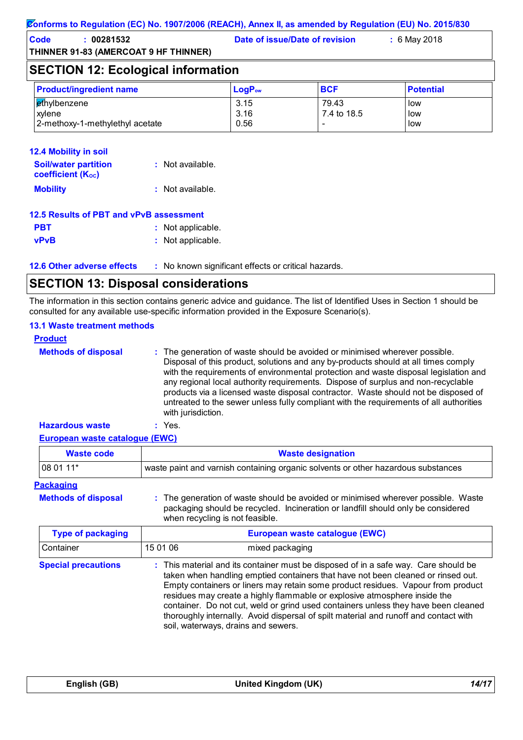**Code : 00281532 Date of issue/Date of revision :** 6 May 2018

# **SECTION 12: Ecological information**

| <b>Product/ingredient name</b>  | $LogP_{ow}$ | <b>BCF</b>  | <b>Potential</b> |
|---------------------------------|-------------|-------------|------------------|
| ethylbenzene                    | 3.15        | 79.43       | low              |
| xvlene                          | 3.16        | 7.4 to 18.5 | low              |
| 2-methoxy-1-methylethyl acetate | 0.56        | -           | low              |

### **12.4 Mobility in soil**

| <b>Soil/water partition</b><br><b>coefficient (Koc)</b> | : Not available.   |
|---------------------------------------------------------|--------------------|
| <b>Mobility</b>                                         | $:$ Not available. |

### **12.5 Results of PBT and vPvB assessment**

| <b>PBT</b>  | : Not applicable. |
|-------------|-------------------|
| <b>vPvB</b> | : Not applicable. |

**12.6 Other adverse effects** : No known significant effects or critical hazards.

# **SECTION 13: Disposal considerations**

The information in this section contains generic advice and guidance. The list of Identified Uses in Section 1 should be consulted for any available use-specific information provided in the Exposure Scenario(s).

### **13.1 Waste treatment methods**

| <b>Product</b>             |                                                                                                                                                                                                                                                                                                                                                                                                                                                                                                                                                     |
|----------------------------|-----------------------------------------------------------------------------------------------------------------------------------------------------------------------------------------------------------------------------------------------------------------------------------------------------------------------------------------------------------------------------------------------------------------------------------------------------------------------------------------------------------------------------------------------------|
| <b>Methods of disposal</b> | : The generation of waste should be avoided or minimised wherever possible.<br>Disposal of this product, solutions and any by-products should at all times comply<br>with the requirements of environmental protection and waste disposal legislation and<br>any regional local authority requirements. Dispose of surplus and non-recyclable<br>products via a licensed waste disposal contractor. Waste should not be disposed of<br>untreated to the sewer unless fully compliant with the requirements of all authorities<br>with jurisdiction. |
| <b>Hazardous waste</b>     | : Yes.                                                                                                                                                                                                                                                                                                                                                                                                                                                                                                                                              |

### **European waste catalogue (EWC)**

| <b>Waste code</b> | <b>Waste designation</b>                                                          |
|-------------------|-----------------------------------------------------------------------------------|
| $ 080111*$        | waste paint and varnish containing organic solvents or other hazardous substances |

### **Packaging**

**Methods of disposal :**

The generation of waste should be avoided or minimised wherever possible. Waste packaging should be recycled. Incineration or landfill should only be considered when recycling is not feasible.

| <b>Type of packaging</b>   | European waste catalogue (EWC) |                                                                                                                                                                                                                                                                                                                                                                                                                                                                                                                                                               |  |
|----------------------------|--------------------------------|---------------------------------------------------------------------------------------------------------------------------------------------------------------------------------------------------------------------------------------------------------------------------------------------------------------------------------------------------------------------------------------------------------------------------------------------------------------------------------------------------------------------------------------------------------------|--|
| Container                  | 15 01 06                       | mixed packaging                                                                                                                                                                                                                                                                                                                                                                                                                                                                                                                                               |  |
| <b>Special precautions</b> |                                | : This material and its container must be disposed of in a safe way. Care should be<br>taken when handling emptied containers that have not been cleaned or rinsed out.<br>Empty containers or liners may retain some product residues. Vapour from product<br>residues may create a highly flammable or explosive atmosphere inside the<br>container. Do not cut, weld or grind used containers unless they have been cleaned<br>thoroughly internally. Avoid dispersal of spilt material and runoff and contact with<br>soil, waterways, drains and sewers. |  |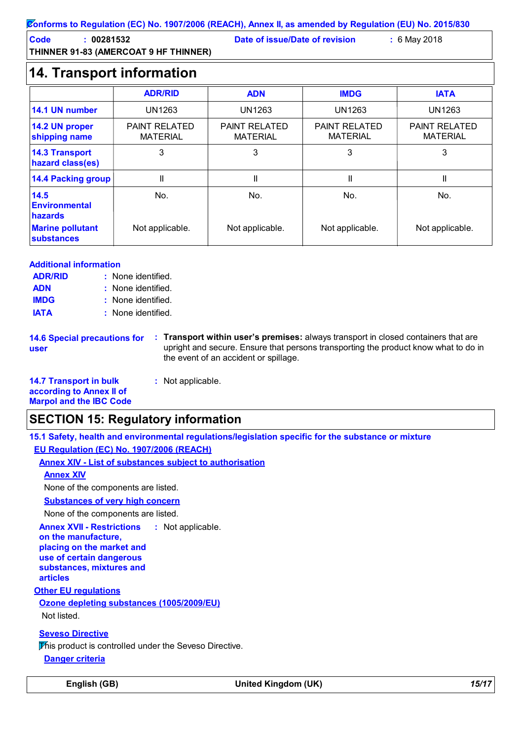### **Conforms to Regulation (EC) No. 1907/2006 (REACH), Annex II, as amended by Regulation (EU) No. 2015/830**

**Code : 00281532 Date of issue/Date of revision :** 6 May 2018

**THINNER 91-83 (AMERCOAT 9 HF THINNER)**

# **14. Transport information**

|                                              | <b>ADR/RID</b>                          | <b>ADN</b>                              | <b>IMDG</b>                             | <b>IATA</b>                             |
|----------------------------------------------|-----------------------------------------|-----------------------------------------|-----------------------------------------|-----------------------------------------|
| 14.1 UN number                               | <b>UN1263</b>                           | <b>UN1263</b>                           | UN1263                                  | UN1263                                  |
| 14.2 UN proper<br>shipping name              | <b>PAINT RELATED</b><br><b>MATERIAL</b> | <b>PAINT RELATED</b><br><b>MATERIAL</b> | <b>PAINT RELATED</b><br><b>MATERIAL</b> | <b>PAINT RELATED</b><br><b>MATERIAL</b> |
| <b>14.3 Transport</b><br>hazard class(es)    | 3                                       | 3                                       | 3                                       | 3                                       |
| <b>14.4 Packing group</b>                    | Ш                                       | II                                      | Ш                                       | Ш                                       |
| 14.5<br><b>Environmental</b><br>hazards      | No.                                     | No.                                     | No.                                     | No.                                     |
| <b>Marine pollutant</b><br><b>substances</b> | Not applicable.                         | Not applicable.                         | Not applicable.                         | Not applicable.                         |

### **Additional information**

| <b>ADR/RID</b> | : None identified. |
|----------------|--------------------|
| <b>ADN</b>     | : None identified. |
| <b>IMDG</b>    | : None identified. |
| <b>IATA</b>    | : None identified. |

**14.6 Special precautions for user**

**Transport within user's premises:** always transport in closed containers that are **:** upright and secure. Ensure that persons transporting the product know what to do in the event of an accident or spillage.

**14.7 Transport in bulk according to Annex II of Marpol and the IBC Code :** Not applicable.

### **SECTION 15: Regulatory information**

**15.1 Safety, health and environmental regulations/legislation specific for the substance or mixture EU Regulation (EC) No. 1907/2006 (REACH)**

**Annex XIV - List of substances subject to authorisation**

**Annex XIV**

None of the components are listed.

**Substances of very high concern**

None of the components are listed.

**Annex XVII - Restrictions** : Not applicable.

**on the manufacture, placing on the market and use of certain dangerous substances, mixtures and articles**

**Other EU regulations**

**Ozone depleting substances (1005/2009/EU)** Not listed.

**Seveso Directive**

This product is controlled under the Seveso Directive.

**Danger criteria**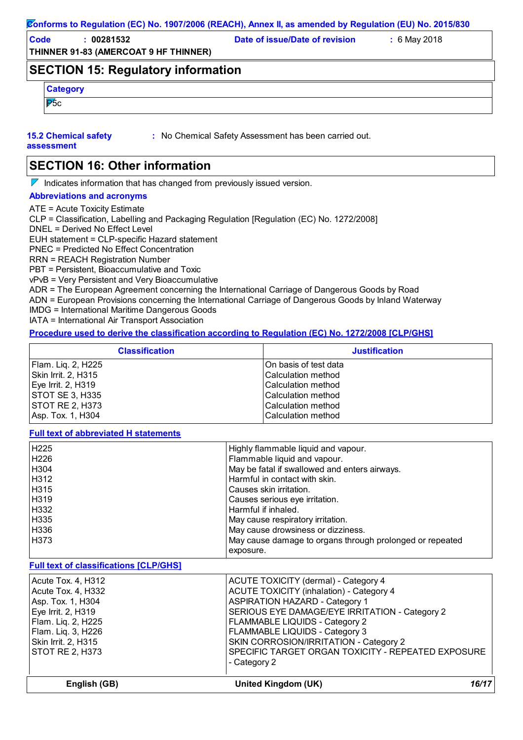#### **Conforms to Regulation (EC) No. 1907/2006 (REACH), Annex II, as amended by Regulation (EU) No. 2015/830**

**THINNER 91-83 (AMERCOAT 9 HF THINNER) Code : 00281532 Date of issue/Date of revision :** 6 May 2018

### **SECTION 15: Regulatory information**

|         | . . |  |  |  |
|---------|-----|--|--|--|
| $-$     |     |  |  |  |
| Æ<br>ω. |     |  |  |  |

### **15.2 Chemical safety**

**:** No Chemical Safety Assessment has been carried out.

#### **assessment**

**SECTION 16: Other information**

 $\nabla$  Indicates information that has changed from previously issued version.

#### **Abbreviations and acronyms**

ATE = Acute Toxicity Estimate CLP = Classification, Labelling and Packaging Regulation [Regulation (EC) No. 1272/2008] DNEL = Derived No Effect Level EUH statement = CLP-specific Hazard statement PNEC = Predicted No Effect Concentration RRN = REACH Registration Number PBT = Persistent, Bioaccumulative and Toxic vPvB = Very Persistent and Very Bioaccumulative ADR = The European Agreement concerning the International Carriage of Dangerous Goods by Road ADN = European Provisions concerning the International Carriage of Dangerous Goods by Inland Waterway IMDG = International Maritime Dangerous Goods IATA = International Air Transport Association

### **Procedure used to derive the classification according to Regulation (EC) No. 1272/2008 [CLP/GHS]**

| <b>Classification</b>  | <b>Justification</b>      |
|------------------------|---------------------------|
| Flam. Liq. 2, H225     | IOn basis of test data    |
| Skin Irrit. 2, H315    | <b>Calculation method</b> |
| Eye Irrit. 2, H319     | <b>Calculation method</b> |
| <b>STOT SE 3, H335</b> | <b>Calculation method</b> |
| <b>STOT RE 2, H373</b> | lCalculation method       |
| Asp. Tox. 1, H304      | lCalculation method       |

**Full text of abbreviated H statements**

| H225                                          | Highly flammable liquid and vapour.                      |
|-----------------------------------------------|----------------------------------------------------------|
| H226                                          | Flammable liquid and vapour.                             |
| H304                                          | May be fatal if swallowed and enters airways.            |
| H312                                          | Harmful in contact with skin.                            |
| H315                                          | Causes skin irritation.                                  |
| H319                                          | Causes serious eye irritation.                           |
| H332                                          | Harmful if inhaled.                                      |
| H335                                          | May cause respiratory irritation.                        |
| H336                                          | May cause drowsiness or dizziness.                       |
| H373                                          | May cause damage to organs through prolonged or repeated |
|                                               | exposure.                                                |
| <b>Full text of classifications [CLP/GHS]</b> |                                                          |
| Acute Tox. 4, H312                            | ACUTE TOXICITY (dermal) - Category 4                     |
| Acute Tox. 4, H332                            | <b>ACUTE TOXICITY (inhalation) - Category 4</b>          |
| Asp. Tox. 1, H304                             | <b>ASPIRATION HAZARD - Category 1</b>                    |
| Eye Irrit. 2, H319                            | SERIOUS EYE DAMAGE/EYE IRRITATION - Category 2           |
| Flam. Liq. 2, H225                            | FLAMMABLE LIQUIDS - Category 2                           |
| Flam. Liq. 3, H226                            | FLAMMABLE LIQUIDS - Category 3                           |
| Skin Irrit. 2, H315                           | SKIN CORROSION/IRRITATION - Category 2                   |
| <b>STOT RE 2, H373</b>                        | SPECIFIC TARGET ORGAN TOXICITY - REPEATED EXPOSURE       |
|                                               | - Category 2                                             |
|                                               |                                                          |

**English (GB) United Kingdom (UK)** *16/17*